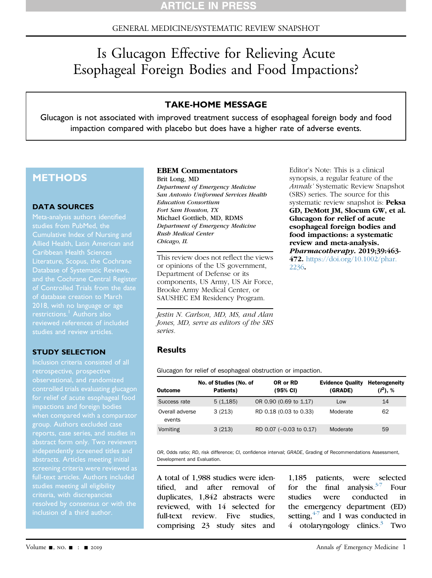# GENERAL MEDICINE/SYSTEMATIC REVIEW SNAPSHOT

# Is Glucagon Effective for Relieving Acute Esophageal Foreign Bodies and Food Impactions?

# TAKE-HOME MESSAGE

Glucagon is not associated with improved treatment success of esophageal foreign body and food impaction compared with placebo but does have a higher rate of adverse events.

# **METHODS**

#### DATA SOURCES

Meta-analysis authors identified studies from PubMed, the Cumulative Index of Nursing and Allied Health, Latin American and Caribbean Health Sciences and the Cochrane Central Register of Controlled Trials from the date of database creation to March 2018, with no language or age restrictions.<sup>[1](#page-2-2)</sup> Authors also reviewed references of included studies and review articles.

#### STUDY SELECTION

retrospective, prospective observational, and randomized controlled trials evaluating glucagon for relief of acute esophageal food impactions and foreign bodies abstract form only. Two reviewers abstracts. Articles meeting initial screening criteria were reviewed as studies meeting all eligibility criteria, with discrepancies inclusion of a third author.

#### EBEM Commentators

Brit Long, MD Department of Emergency Medicine San Antonio Uniformed Services Health Education Consortium Fort Sam Houston, TX Michael Gottlieb, MD, RDMS Department of Emergency Medicine Rush Medical Center Chicago, IL

This review does not reflect the views or opinions of the US government, Department of Defense or its components, US Army, US Air Force, Brooke Army Medical Center, or SAUSHEC EM Residency Program.

Jestin N. Carlson, MD, MS, and Alan Jones, MD, serve as editors of the SRS series.

## **Results**

<span id="page-0-0"></span>Glucagon for relief of esophageal obstruction or impaction.

| <b>Outcome</b>            | No. of Studies (No. of<br>Patients) | OR or RD<br>(95% CI)    | <b>Evidence Quality</b><br>(GRADE) | Heterogeneity<br>$(I^2)$ , % |
|---------------------------|-------------------------------------|-------------------------|------------------------------------|------------------------------|
| Success rate              | 5(1,185)                            | OR 0.90 (0.69 to 1.17)  | Low                                | 14                           |
| Overall adverse<br>events | 3(213)                              | RD 0.18 (0.03 to 0.33)  | Moderate                           | 62                           |
| Vomiting                  | 3(213)                              | RD 0.07 (-0.03 to 0.17) | Moderate                           | 59                           |

[2236](https://doi.org/10.1002/phar.2236).

OR, Odds ratio; RD, risk difference; CI, confidence interval; GRADE, Grading of Recommendations Assessment, Development and Evaluation.

A total of 1,988 studies were identified, and after removal of duplicates, 1,842 abstracts were reviewed, with 14 selected for full-text review. Five studies, comprising 23 study sites and

1,185 patients, were selected for the final analysis. $3\frac{3}{7}$  Four studies were conducted in the emergency department (ED) setting,  $4\frac{1}{7}$  and 1 was conducted in 4 otolaryngology clinics. $3$  Two

Editor's Note: This is a clinical synopsis, a regular feature of the Annals' Systematic Review Snapshot (SRS) series. The source for this systematic review snapshot is: Peksa GD, DeMott JM, Slocum GW, et al. Glucagon for relief of acute esophageal foreign bodies and food impactions: a systematic review and meta-analysis. Pharmacotherapy. 2019;39:463- 472. [https://doi.org/10.1002/phar.](https://doi.org/10.1002/phar.2236)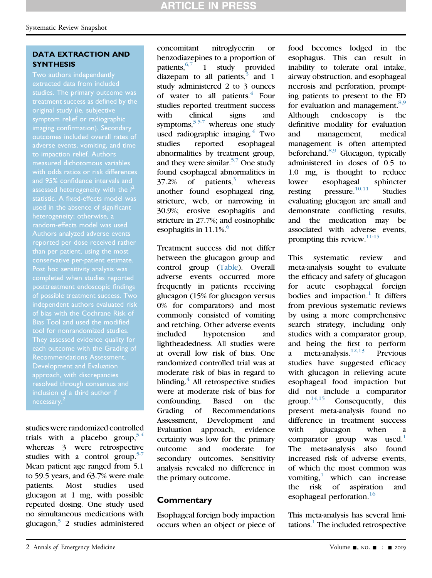### DATA EXTRACTION AND **SYNTHESIS**

Two authors independently extracted data from included treatment success as defined by the symptom relief or radiographic imaging confirmation). Secondary outcomes included overall rates of adverse events, vomiting, and time to impaction relief. Authors with odds ratios or risk differences and 95% confidence intervals and assessed heterogeneity with the  $I^2$ statistic. A fixed-effects model was used in the absence of significant heterogeneity; otherwise, a random-effects model was used. Authors analyzed adverse events than per patient, using the most conservative per-patient estimate. posttreatment endoscopic findings independent authors evaluated risk of bias with the Cochrane Risk of Bias Tool and used the modified tool for nonrandomized studies. each outcome with the Grading of Recommendations Assessment, approach, with discrepancies resolved through consensus and

studies were randomized controlled trials with a placebo group,  $3,4$ whereas 3 were retrospective studies with a control group. $5\frac{1}{2}$ Mean patient age ranged from 5.1 to 59.5 years, and 63.7% were male patients. Most studies used glucagon at 1 mg, with possible repeated dosing. One study used no simultaneous medications with glucagon[,5](#page-2-3) 2 studies administered concomitant nitroglycerin or benzodiazepines to a proportion of patients,  $6,7$  1 study provided diazepam to all patients, $3$  and 1 study administered 2 to 3 ounces of water to all patients. $\frac{4}{3}$  $\frac{4}{3}$  $\frac{4}{3}$  Four studies reported treatment success with clinical signs and symptoms, $3.5-7$  whereas one study used radiographic imaging.<sup>4</sup> Two studies reported esophageal abnormalities by treatment group, and they were similar.<sup>[5,7](#page-2-3)</sup> One study found esophageal abnormalities in  $37.2\%$  $37.2\%$  of patients,<sup>3</sup> whereas another found esophageal ring, stricture, web, or narrowing in 30.9%; erosive esophagitis and stricture in 27.7%; and eosinophilic esophagitis in  $11.1\%$ .

Treatment success did not differ between the glucagon group and control group [\(Table](#page-0-0)). Overall adverse events occurred more frequently in patients receiving glucagon (15% for glucagon versus 0% for comparators) and most commonly consisted of vomiting and retching. Other adverse events included hypotension and lightheadedness. All studies were at overall low risk of bias. One randomized controlled trial was at moderate risk of bias in regard to blinding. $4$  All retrospective studies were at moderate risk of bias for confounding. Based on the Grading of Recommendations Assessment, Development and Evaluation approach, evidence certainty was low for the primary outcome and moderate for secondary outcomes. Sensitivity analysis revealed no difference in the primary outcome.

# **Commentary**

Esophageal foreign body impaction occurs when an object or piece of

food becomes lodged in the esophagus. This can result in inability to tolerate oral intake, airway obstruction, and esophageal necrosis and perforation, prompting patients to present to the ED for evaluation and management. $8,9$ Although endoscopy is the definitive modality for evaluation and management, medical management is often attempted beforehand.<sup>8,9</sup> Glucagon, typically administered in doses of 0.5 to 1.0 mg, is thought to reduce lower esophageal sphincter resting  $\text{pressure.}^{10,11}$  $\text{pressure.}^{10,11}$  $\text{pressure.}^{10,11}$  Studies evaluating glucagon are small and demonstrate conflicting results, and the medication may be associated with adverse events, prompting this review.<sup>[11-15](#page-2-7)</sup>

This systematic review and meta-analysis sought to evaluate the efficacy and safety of glucagon for acute esophageal foreign bodies and impaction.<sup>1</sup> It differs from previous systematic reviews by using a more comprehensive search strategy, including only studies with a comparator group, and being the first to perform a meta-analysis. $12,13$  Previous studies have suggested efficacy with glucagon in relieving acute esophageal food impaction but did not include a comparator group.<sup>[14,15](#page-2-9)</sup> Consequently, this present meta-analysis found no difference in treatment success with glucagon when a comparator group was used. $1$ The meta-analysis also found increased risk of adverse events, of which the most common was vomiting, $<sup>1</sup>$  which can increase</sup> the risk of aspiration and esophageal perforation.<sup>16</sup>

This meta-analysis has several limi-tations.<sup>[1](#page-2-2)</sup> The included retrospective